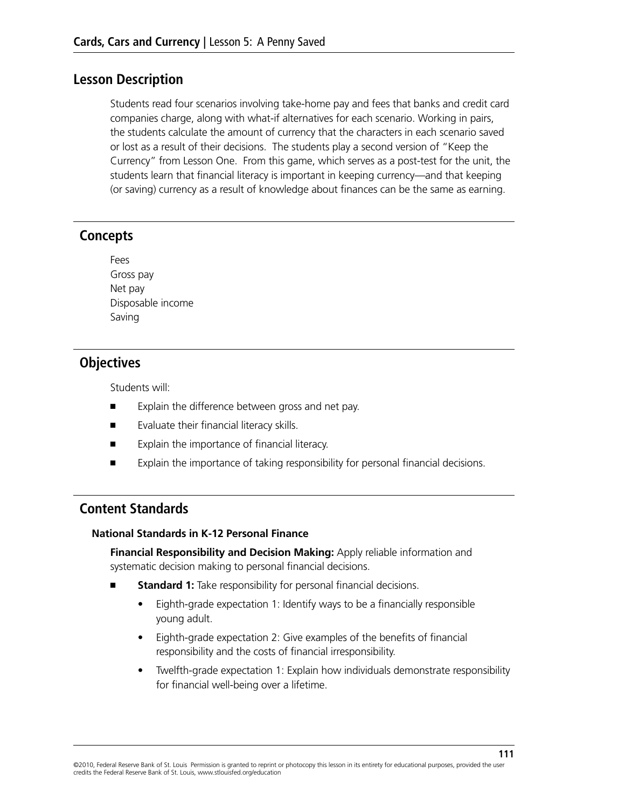#### **Lesson Description**

Students read four scenarios involving take-home pay and fees that banks and credit card companies charge, along with what-if alternatives for each scenario. Working in pairs, the students calculate the amount of currency that the characters in each scenario saved or lost as a result of their decisions. The students play a second version of "Keep the Currency" from Lesson One. From this game, which serves as a post-test for the unit, the students learn that financial literacy is important in keeping currency—and that keeping (or saving) currency as a result of knowledge about finances can be the same as earning.

#### **Concepts**

| Fees              |
|-------------------|
| Gross pay         |
| Net pay           |
| Disposable income |
| Saving            |

## **Objectives**

Students will:

- Explain the difference between gross and net pay.
- Evaluate their financial literacy skills.
- Explain the importance of financial literacy.
- Explain the importance of taking responsibility for personal financial decisions.

#### **Content Standards**

#### **National Standards in K-12 Personal Finance**

**Financial Responsibility and Decision Making:** Apply reliable information and systematic decision making to personal financial decisions.

- **Standard 1:** Take responsibility for personal financial decisions.
	- Eighth-grade expectation 1: Identify ways to be a financially responsible young adult.
	- Eighth-grade expectation 2: Give examples of the benefits of financial responsibility and the costs of financial irresponsibility.
	- Twelfth-grade expectation 1: Explain how individuals demonstrate responsibility for financial well-being over a lifetime.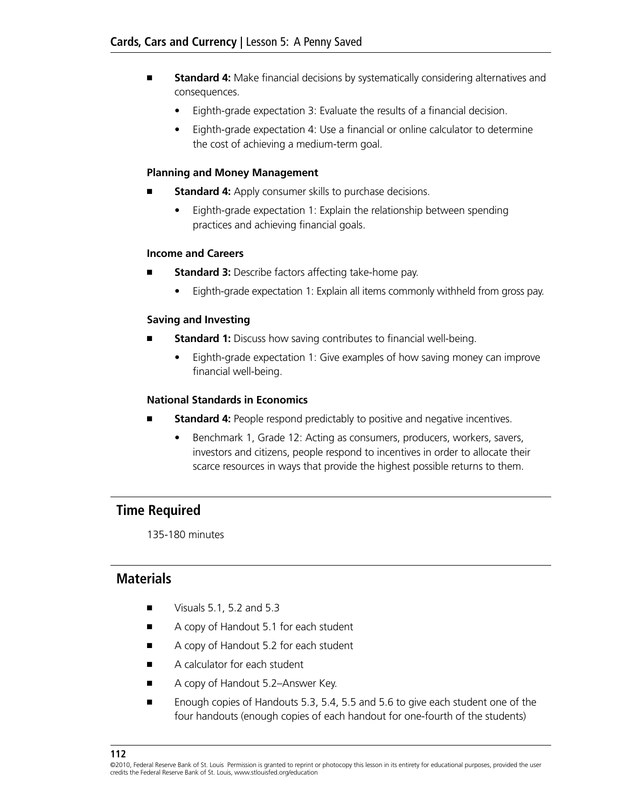- **Standard 4:** Make financial decisions by systematically considering alternatives and consequences.
	- Eighth-grade expectation 3: Evaluate the results of a financial decision.
	- Eighth-grade expectation 4: Use a financial or online calculator to determine the cost of achieving a medium-term goal.

#### **Planning and Money Management**

- **Standard 4:** Apply consumer skills to purchase decisions.
	- Eighth-grade expectation 1: Explain the relationship between spending practices and achieving financial goals.

#### **Income and Careers**

- **Standard 3:** Describe factors affecting take-home pay.
	- Eighth-grade expectation 1: Explain all items commonly withheld from gross pay.

#### **Saving and Investing**

- **Standard 1:** Discuss how saving contributes to financial well-being.
	- Eighth-grade expectation 1: Give examples of how saving money can improve financial well-being.

#### **National Standards in Economics**

- **Standard 4:** People respond predictably to positive and negative incentives.
	- Benchmark 1, Grade 12: Acting as consumers, producers, workers, savers, investors and citizens, people respond to incentives in order to allocate their scarce resources in ways that provide the highest possible returns to them.

#### **Time Required**

135-180 minutes

#### **Materials**

- Visuals 5.1, 5.2 and 5.3
- A copy of Handout 5.1 for each student
- A copy of Handout 5.2 for each student
- A calculator for each student
- A copy of Handout 5.2–Answer Key.
- Enough copies of Handouts 5.3, 5.4, 5.5 and 5.6 to give each student one of the four handouts (enough copies of each handout for one-fourth of the students)

<sup>©2010,</sup> Federal Reserve Bank of St. Louis Permission is granted to reprint or photocopy this lesson in its entirety for educational purposes, provided the user credits the Federal Reserve Bank of St. Louis, www.stlouisfed.org/education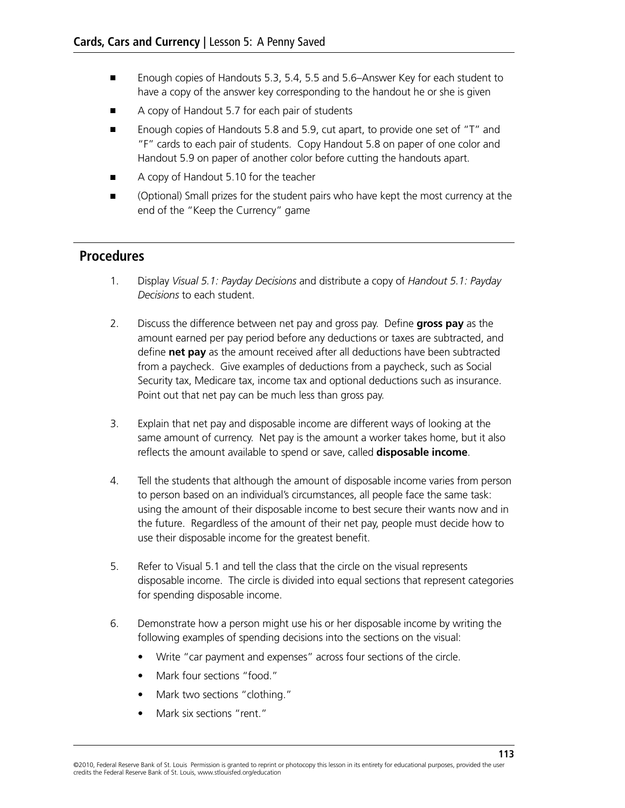- Enough copies of Handouts 5.3, 5.4, 5.5 and 5.6–Answer Key for each student to have a copy of the answer key corresponding to the handout he or she is given
- A copy of Handout 5.7 for each pair of students
- Enough copies of Handouts 5.8 and 5.9, cut apart, to provide one set of "T" and "F" cards to each pair of students. Copy Handout 5.8 on paper of one color and Handout 5.9 on paper of another color before cutting the handouts apart.
- A copy of Handout 5.10 for the teacher
- (Optional) Small prizes for the student pairs who have kept the most currency at the end of the "Keep the Currency" game

#### **Procedures**

- 1. Display *Visual 5.1: Payday Decisions* and distribute a copy of *Handout 5.1: Payday Decisions* to each student.
- 2. Discuss the difference between net pay and gross pay. Define **gross pay** as the amount earned per pay period before any deductions or taxes are subtracted, and define **net pay** as the amount received after all deductions have been subtracted from a paycheck. Give examples of deductions from a paycheck, such as Social Security tax, Medicare tax, income tax and optional deductions such as insurance. Point out that net pay can be much less than gross pay.
- 3. Explain that net pay and disposable income are different ways of looking at the same amount of currency. Net pay is the amount a worker takes home, but it also reflects the amount available to spend or save, called **disposable income**.
- 4. Tell the students that although the amount of disposable income varies from person to person based on an individual's circumstances, all people face the same task: using the amount of their disposable income to best secure their wants now and in the future. Regardless of the amount of their net pay, people must decide how to use their disposable income for the greatest benefit.
- 5. Refer to Visual 5.1 and tell the class that the circle on the visual represents disposable income. The circle is divided into equal sections that represent categories for spending disposable income.
- 6. Demonstrate how a person might use his or her disposable income by writing the following examples of spending decisions into the sections on the visual:
	- Write "car payment and expenses" across four sections of the circle.
	- Mark four sections "food."
	- Mark two sections "clothing."
	- Mark six sections "rent."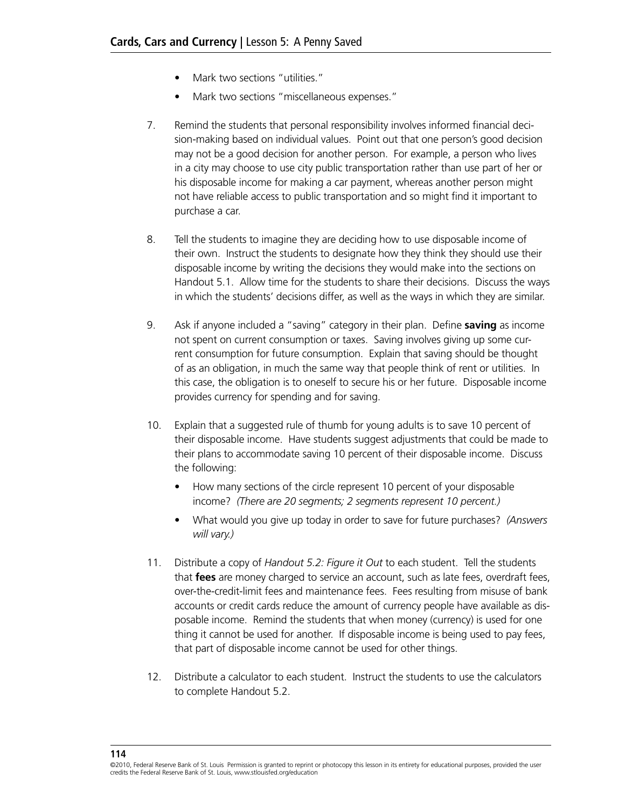- Mark two sections "utilities."
- Mark two sections "miscellaneous expenses."
- 7. Remind the students that personal responsibility involves informed financial decision-making based on individual values. Point out that one person's good decision may not be a good decision for another person. For example, a person who lives in a city may choose to use city public transportation rather than use part of her or his disposable income for making a car payment, whereas another person might not have reliable access to public transportation and so might find it important to purchase a car.
- 8. Tell the students to imagine they are deciding how to use disposable income of their own. Instruct the students to designate how they think they should use their disposable income by writing the decisions they would make into the sections on Handout 5.1. Allow time for the students to share their decisions. Discuss the ways in which the students' decisions differ, as well as the ways in which they are similar.
- 9. Ask if anyone included a "saving" category in their plan. Define **saving** as income not spent on current consumption or taxes. Saving involves giving up some current consumption for future consumption. Explain that saving should be thought of as an obligation, in much the same way that people think of rent or utilities. In this case, the obligation is to oneself to secure his or her future. Disposable income provides currency for spending and for saving.
- 10. Explain that a suggested rule of thumb for young adults is to save 10 percent of their disposable income. Have students suggest adjustments that could be made to their plans to accommodate saving 10 percent of their disposable income. Discuss the following:
	- How many sections of the circle represent 10 percent of your disposable income? *(There are 20 segments; 2 segments represent 10 percent.)*
	- • What would you give up today in order to save for future purchases? *(Answers will vary.)*
- 11. Distribute a copy of *Handout 5.2: Figure it Out* to each student. Tell the students that **fees** are money charged to service an account, such as late fees, overdraft fees, over-the-credit-limit fees and maintenance fees. Fees resulting from misuse of bank accounts or credit cards reduce the amount of currency people have available as disposable income. Remind the students that when money (currency) is used for one thing it cannot be used for another. If disposable income is being used to pay fees, that part of disposable income cannot be used for other things.
- 12. Distribute a calculator to each student. Instruct the students to use the calculators to complete Handout 5.2.

**114**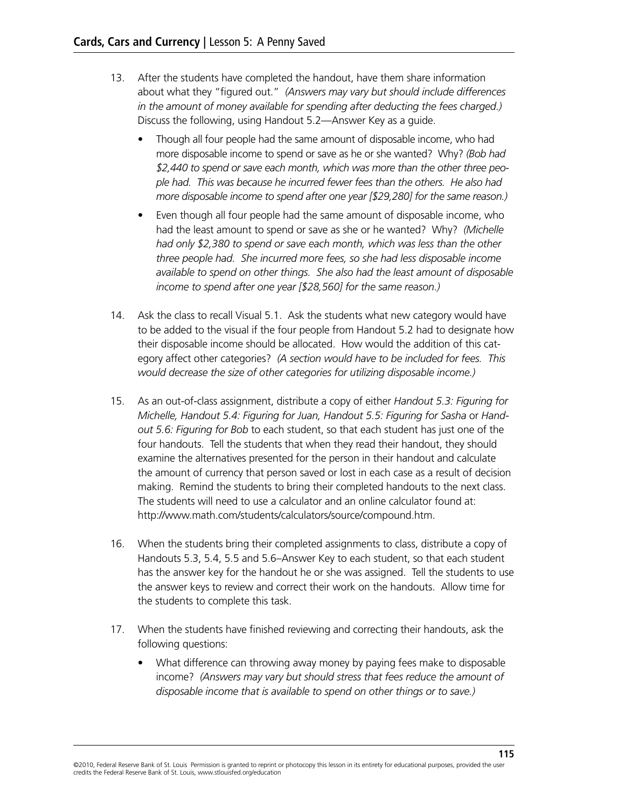- 13. After the students have completed the handout, have them share information about what they "figured out." *(Answers may vary but should include differences in the amount of money available for spending after deducting the fees charged.)*  Discuss the following, using Handout 5.2—Answer Key as a guide.
	- Though all four people had the same amount of disposable income, who had more disposable income to spend or save as he or she wanted? Why? *(Bob had \$2,440 to spend or save each month, which was more than the other three people had. This was because he incurred fewer fees than the others. He also had more disposable income to spend after one year [\$29,280] for the same reason.)*
	- Even though all four people had the same amount of disposable income, who had the least amount to spend or save as she or he wanted? Why? *(Michelle had only \$2,380 to spend or save each month, which was less than the other three people had. She incurred more fees, so she had less disposable income available to spend on other things. She also had the least amount of disposable income to spend after one year [\$28,560] for the same reason.)*
- 14. Ask the class to recall Visual 5.1. Ask the students what new category would have to be added to the visual if the four people from Handout 5.2 had to designate how their disposable income should be allocated. How would the addition of this category affect other categories? *(A section would have to be included for fees. This would decrease the size of other categories for utilizing disposable income.)*
- 15. As an out-of-class assignment, distribute a copy of either *Handout 5.3: Figuring for Michelle, Handout 5.4: Figuring for Juan, Handout 5.5: Figuring for Sasha* or *Handout 5.6: Figuring for Bob* to each student, so that each student has just one of the four handouts. Tell the students that when they read their handout, they should examine the alternatives presented for the person in their handout and calculate the amount of currency that person saved or lost in each case as a result of decision making. Remind the students to bring their completed handouts to the next class. The students will need to use a calculator and an online calculator found at: http://www.math.com/students/calculators/source/compound.htm.
- 16. When the students bring their completed assignments to class, distribute a copy of Handouts 5.3, 5.4, 5.5 and 5.6–Answer Key to each student, so that each student has the answer key for the handout he or she was assigned. Tell the students to use the answer keys to review and correct their work on the handouts. Allow time for the students to complete this task.
- 17. When the students have finished reviewing and correcting their handouts, ask the following questions:
	- What difference can throwing away money by paying fees make to disposable income? *(Answers may vary but should stress that fees reduce the amount of disposable income that is available to spend on other things or to save.)*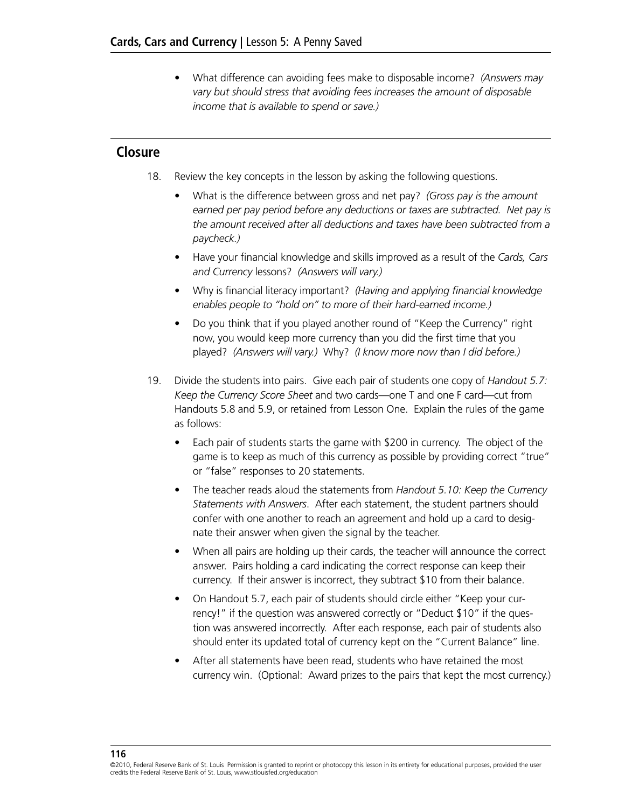• What difference can avoiding fees make to disposable income? *(Answers may vary but should stress that avoiding fees increases the amount of disposable income that is available to spend or save.)*

#### **Closure**

- 18. Review the key concepts in the lesson by asking the following questions.
	- What is the difference between gross and net pay? *(Gross pay is the amount earned per pay period before any deductions or taxes are subtracted. Net pay is the amount received after all deductions and taxes have been subtracted from a paycheck.)*
	- • Have your financial knowledge and skills improved as a result of the *Cards, Cars and Currency* lessons? *(Answers will vary.)*
	- • Why is financial literacy important? *(Having and applying financial knowledge enables people to "hold on" to more of their hard-earned income.)*
	- Do you think that if you played another round of "Keep the Currency" right now, you would keep more currency than you did the first time that you played? *(Answers will vary.)* Why? *(I know more now than I did before.)*
- 19. Divide the students into pairs. Give each pair of students one copy of *Handout 5.7: Keep the Currency Score Sheet* and two cards—one T and one F card—cut from Handouts 5.8 and 5.9, or retained from Lesson One. Explain the rules of the game as follows:
	- Each pair of students starts the game with \$200 in currency. The object of the game is to keep as much of this currency as possible by providing correct "true" or "false" responses to 20 statements.
	- • The teacher reads aloud the statements from *Handout 5.10: Keep the Currency Statements with Answers*. After each statement, the student partners should confer with one another to reach an agreement and hold up a card to designate their answer when given the signal by the teacher.
	- When all pairs are holding up their cards, the teacher will announce the correct answer. Pairs holding a card indicating the correct response can keep their currency. If their answer is incorrect, they subtract \$10 from their balance.
	- On Handout 5.7, each pair of students should circle either "Keep your currency!" if the question was answered correctly or "Deduct \$10" if the question was answered incorrectly. After each response, each pair of students also should enter its updated total of currency kept on the "Current Balance" line.
	- After all statements have been read, students who have retained the most currency win. (Optional: Award prizes to the pairs that kept the most currency.)

#### **116**

<sup>©2010,</sup> Federal Reserve Bank of St. Louis Permission is granted to reprint or photocopy this lesson in its entirety for educational purposes, provided the user credits the Federal Reserve Bank of St. Louis, www.stlouisfed.org/education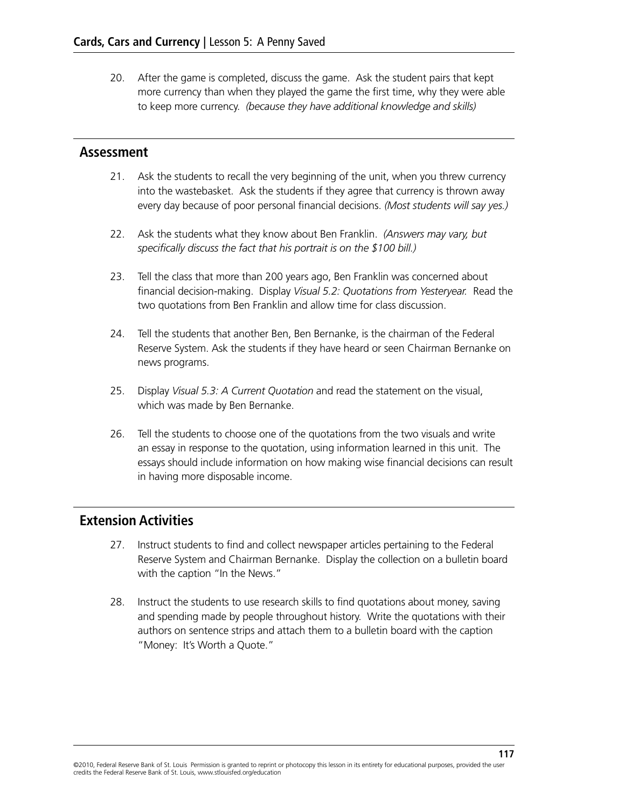20. After the game is completed, discuss the game. Ask the student pairs that kept more currency than when they played the game the first time, why they were able to keep more currency. *(because they have additional knowledge and skills)* 

#### **Assessment**

- 21. Ask the students to recall the very beginning of the unit, when you threw currency into the wastebasket. Ask the students if they agree that currency is thrown away every day because of poor personal financial decisions. *(Most students will say yes.)*
- 22. Ask the students what they know about Ben Franklin. *(Answers may vary, but specifically discuss the fact that his portrait is on the \$100 bill.)*
- 23. Tell the class that more than 200 years ago, Ben Franklin was concerned about financial decision-making. Display *Visual 5.2: Quotations from Yesteryear.* Read the two quotations from Ben Franklin and allow time for class discussion.
- 24. Tell the students that another Ben, Ben Bernanke, is the chairman of the Federal Reserve System. Ask the students if they have heard or seen Chairman Bernanke on news programs.
- 25. Display *Visual 5.3: A Current Quotation* and read the statement on the visual, which was made by Ben Bernanke.
- 26. Tell the students to choose one of the quotations from the two visuals and write an essay in response to the quotation, using information learned in this unit. The essays should include information on how making wise financial decisions can result in having more disposable income.

#### **Extension Activities**

- 27. Instruct students to find and collect newspaper articles pertaining to the Federal Reserve System and Chairman Bernanke. Display the collection on a bulletin board with the caption "In the News."
- 28. Instruct the students to use research skills to find quotations about money, saving and spending made by people throughout history. Write the quotations with their authors on sentence strips and attach them to a bulletin board with the caption "Money: It's Worth a Quote."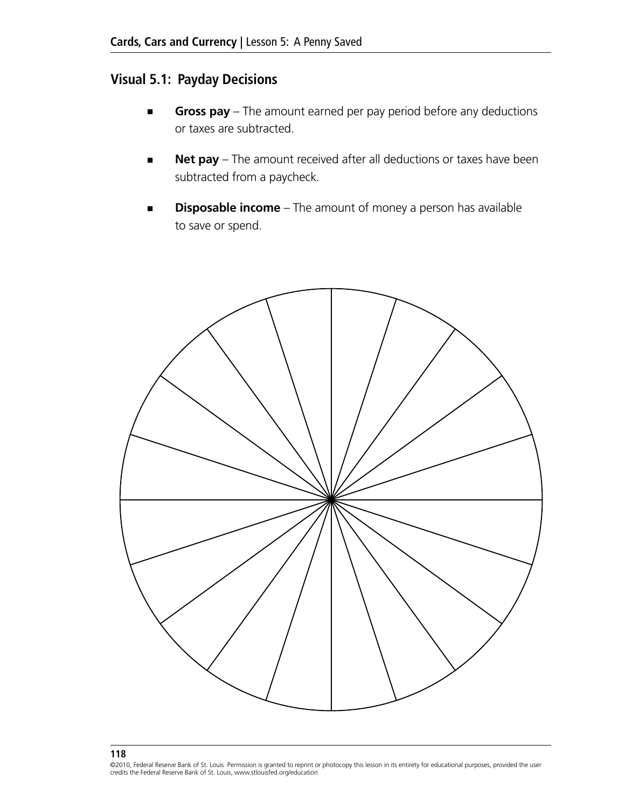# **Visual 5.1: Payday Decisions**

- **Gross pay** The amount earned per pay period before any deductions or taxes are subtracted.
- **Net pay** The amount received after all deductions or taxes have been subtracted from a paycheck*.*
- **Disposable income** The amount of money a person has available to save or spend.



©2010, Federal Reserve Bank of St. Louis Permission is granted to reprint or photocopy this lesson in its entirety for educational purposes, provided the user credits the Federal Reserve Bank of St. Louis, www.stlouisfed.org/education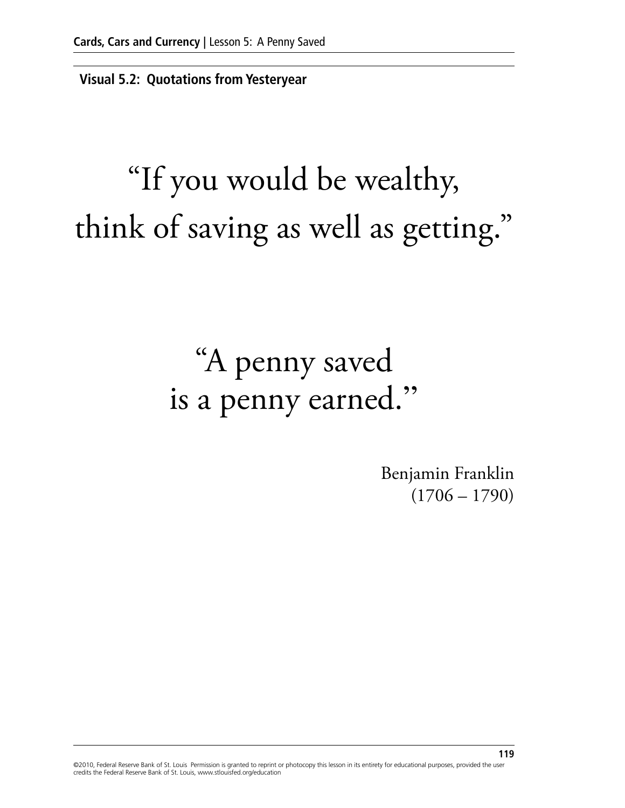**Visual 5.2: Quotations from Yesteryear**

# "If you would be wealthy, think of saving as well as getting."

# "A penny saved is a penny earned."

Benjamin Franklin  $(1706 - 1790)$ 

©2010, Federal Reserve Bank of St. Louis Permission is granted to reprint or photocopy this lesson in its entirety for educational purposes, provided the user credits the Federal Reserve Bank of St. Louis, www.stlouisfed.org/education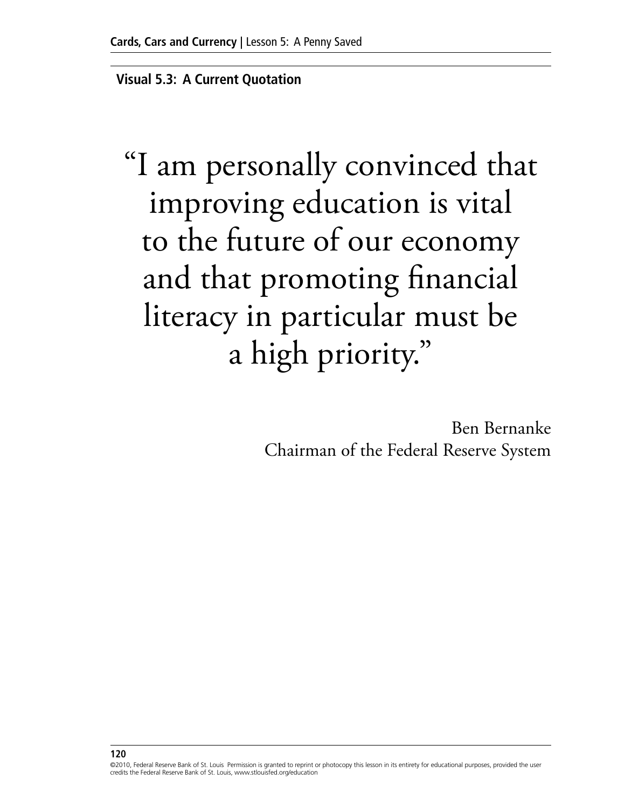**Visual 5.3: A Current Quotation**

"I am personally convinced that improving education is vital to the future of our economy and that promoting financial literacy in particular must be a high priority."

> Ben Bernanke Chairman of the Federal Reserve System

<sup>©2010,</sup> Federal Reserve Bank of St. Louis Permission is granted to reprint or photocopy this lesson in its entirety for educational purposes, provided the user credits the Federal Reserve Bank of St. Louis, www.stlouisfed.org/education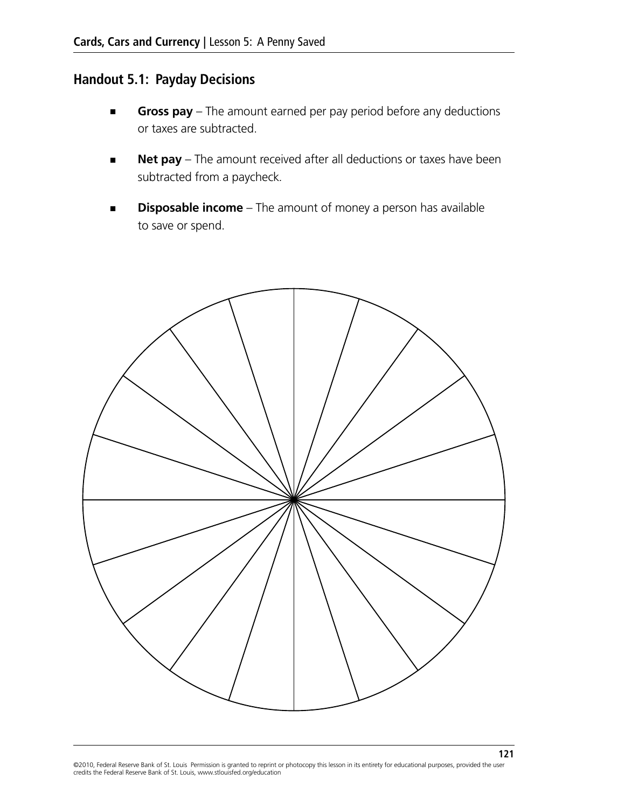# **Handout 5.1: Payday Decisions**

- **Gross pay** The amount earned per pay period before any deductions or taxes are subtracted.
- **Net pay** The amount received after all deductions or taxes have been subtracted from a paycheck*.*
- **Disposable income** The amount of money a person has available to save or spend.



**121**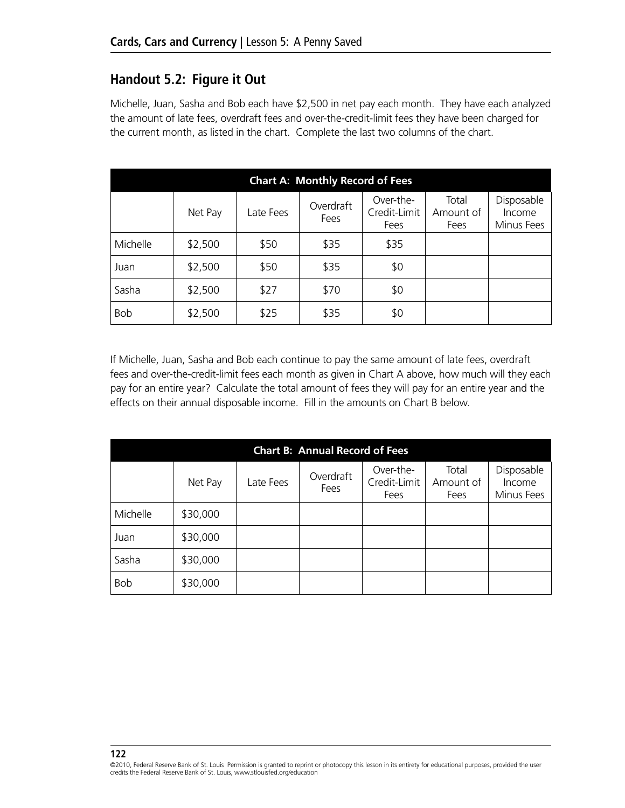#### **Handout 5.2: Figure it Out**

Michelle, Juan, Sasha and Bob each have \$2,500 in net pay each month. They have each analyzed the amount of late fees, overdraft fees and over-the-credit-limit fees they have been charged for the current month, as listed in the chart. Complete the last two columns of the chart.

| <b>Chart A: Monthly Record of Fees</b> |         |           |                   |                                   |                            |                                           |
|----------------------------------------|---------|-----------|-------------------|-----------------------------------|----------------------------|-------------------------------------------|
|                                        | Net Pay | Late Fees | Overdraft<br>Fees | Over-the-<br>Credit-Limit<br>Fees | Total<br>Amount of<br>Fees | Disposable<br><i>Income</i><br>Minus Fees |
| Michelle                               | \$2,500 | \$50      | \$35              | \$35                              |                            |                                           |
| Juan                                   | \$2,500 | \$50      | \$35              | \$0                               |                            |                                           |
| Sasha                                  | \$2,500 | \$27      | \$70              | \$0                               |                            |                                           |
| <b>Bob</b>                             | \$2,500 | \$25      | \$35              | \$0                               |                            |                                           |

If Michelle, Juan, Sasha and Bob each continue to pay the same amount of late fees, overdraft fees and over-the-credit-limit fees each month as given in Chart A above, how much will they each pay for an entire year? Calculate the total amount of fees they will pay for an entire year and the effects on their annual disposable income. Fill in the amounts on Chart B below.

| <b>Chart B: Annual Record of Fees</b> |          |           |                   |                                   |                            |                                    |
|---------------------------------------|----------|-----------|-------------------|-----------------------------------|----------------------------|------------------------------------|
|                                       | Net Pay  | Late Fees | Overdraft<br>Fees | Over-the-<br>Credit-Limit<br>Fees | Total<br>Amount of<br>Fees | Disposable<br>Income<br>Minus Fees |
| Michelle                              | \$30,000 |           |                   |                                   |                            |                                    |
| Juan                                  | \$30,000 |           |                   |                                   |                            |                                    |
| Sasha                                 | \$30,000 |           |                   |                                   |                            |                                    |
| <b>Bob</b>                            | \$30,000 |           |                   |                                   |                            |                                    |

<sup>©2010,</sup> Federal Reserve Bank of St. Louis Permission is granted to reprint or photocopy this lesson in its entirety for educational purposes, provided the user credits the Federal Reserve Bank of St. Louis, www.stlouisfed.org/education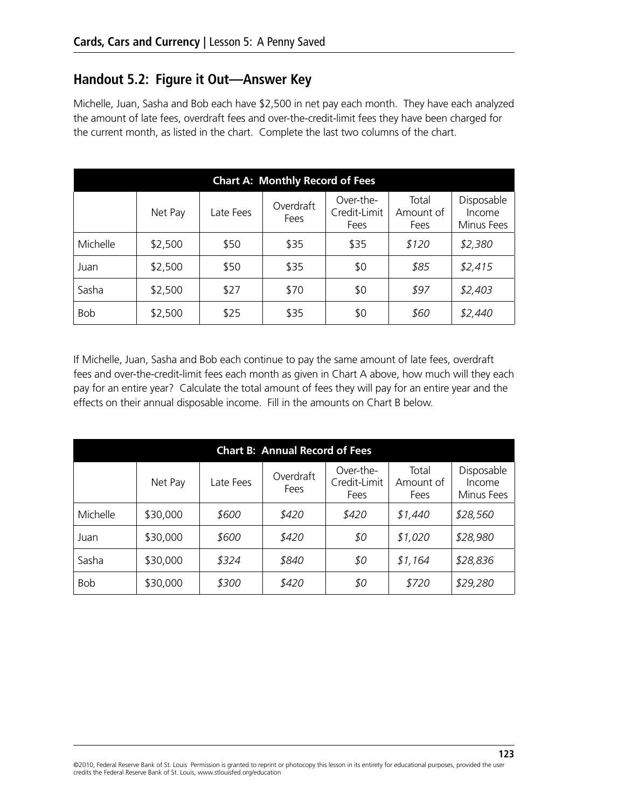#### **Handout 5.2: Figure it Out—Answer Key**

Michelle, Juan, Sasha and Bob each have \$2,500 in net pay each month. They have each analyzed the amount of late fees, overdraft fees and over-the-credit-limit fees they have been charged for the current month, as listed in the chart. Complete the last two columns of the chart.

| <b>Chart A: Monthly Record of Fees</b> |         |           |                   |                                   |                            |                                    |
|----------------------------------------|---------|-----------|-------------------|-----------------------------------|----------------------------|------------------------------------|
|                                        | Net Pay | Late Fees | Overdraft<br>Fees | Over-the-<br>Credit-Limit<br>Fees | Total<br>Amount of<br>Fees | Disposable<br>Income<br>Minus Fees |
| Michelle                               | \$2,500 | \$50      | \$35              | \$35                              | \$120                      | \$2,380                            |
| Juan                                   | \$2,500 | \$50      | \$35              | \$0                               | \$85                       | \$2,415                            |
| Sasha                                  | \$2,500 | \$27      | \$70              | \$0                               | \$97                       | \$2,403                            |
| <b>Bob</b>                             | \$2,500 | \$25      | \$35              | \$0                               | \$60                       | \$2,440                            |

If Michelle, Juan, Sasha and Bob each continue to pay the same amount of late fees, overdraft fees and over-the-credit-limit fees each month as given in Chart A above, how much will they each pay for an entire year? Calculate the total amount of fees they will pay for an entire year and the effects on their annual disposable income. Fill in the amounts on Chart B below.

| <b>Chart B: Annual Record of Fees</b> |          |           |                   |                                   |                            |                                    |
|---------------------------------------|----------|-----------|-------------------|-----------------------------------|----------------------------|------------------------------------|
|                                       | Net Pay  | Late Fees | Overdraft<br>Fees | Over-the-<br>Credit-Limit<br>Fees | Total<br>Amount of<br>Fees | Disposable<br>Income<br>Minus Fees |
| Michelle                              | \$30,000 | \$600     | \$420             | \$420                             | \$1,440                    | \$28,560                           |
| Juan                                  | \$30,000 | \$600     | \$420             | \$0                               | \$1,020                    | \$28,980                           |
| Sasha                                 | \$30,000 | \$324     | \$840             | \$0                               | \$1,164                    | \$28,836                           |
| <b>Bob</b>                            | \$30,000 | \$300     | \$420             | \$0                               | \$720                      | \$29,280                           |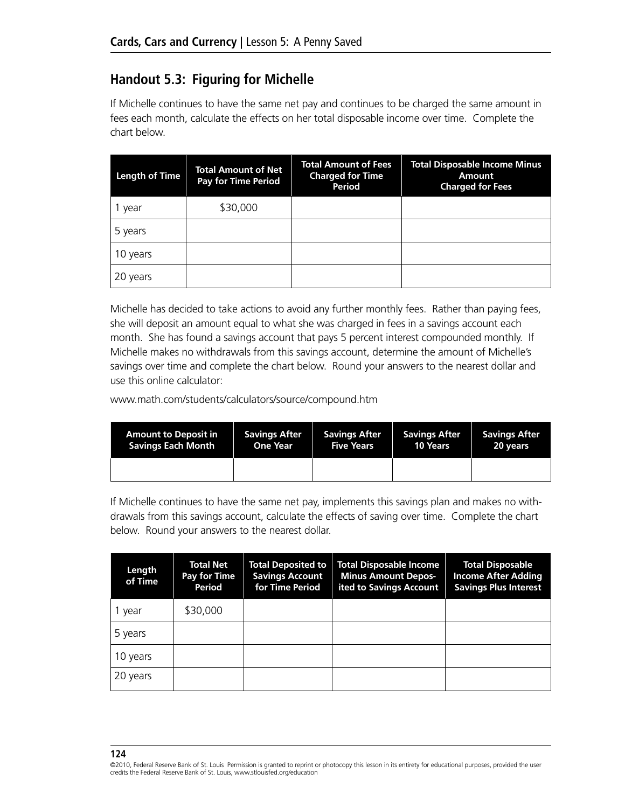# **Handout 5.3: Figuring for Michelle**

If Michelle continues to have the same net pay and continues to be charged the same amount in fees each month, calculate the effects on her total disposable income over time. Complete the chart below.

| <b>Length of Time</b> | Total Amount of Net<br><b>Pay for Time Period</b> | <b>Total Amount of Fees</b><br><b>Charged for Time</b><br>Period | <b>Total Disposable Income Minus</b><br><b>Amount</b><br><b>Charged for Fees</b> |
|-----------------------|---------------------------------------------------|------------------------------------------------------------------|----------------------------------------------------------------------------------|
| year                  | \$30,000                                          |                                                                  |                                                                                  |
| 5 years               |                                                   |                                                                  |                                                                                  |
| 10 years              |                                                   |                                                                  |                                                                                  |
| 20 years              |                                                   |                                                                  |                                                                                  |

Michelle has decided to take actions to avoid any further monthly fees. Rather than paying fees, she will deposit an amount equal to what she was charged in fees in a savings account each month. She has found a savings account that pays 5 percent interest compounded monthly. If Michelle makes no withdrawals from this savings account, determine the amount of Michelle's savings over time and complete the chart below. Round your answers to the nearest dollar and use this online calculator:

www.math.com/students/calculators/source/compound.htm

| <b>Amount to Deposit in</b> | <b>Savings After</b> | <b>Savings After</b> | <b>Savings After</b> | <b>Savings After</b> |
|-----------------------------|----------------------|----------------------|----------------------|----------------------|
| <b>Savings Each Month</b>   | <b>One Year</b>      | <b>Five Years</b>    | <b>10 Years</b>      | 20 years             |
|                             |                      |                      |                      |                      |

If Michelle continues to have the same net pay, implements this savings plan and makes no withdrawals from this savings account, calculate the effects of saving over time. Complete the chart below. Round your answers to the nearest dollar.

| Length<br>of Time | Total Net<br>Pay for Time<br>Period | <b>Total Deposited to</b><br><b>Savings Account</b><br>for Time Period | <b>Total Disposable Income</b><br><b>Minus Amount Depos-</b><br>ited to Savings Account | <b>Total Disposable</b><br><b>Income After Adding</b><br><b>Savings Plus Interest</b> |
|-------------------|-------------------------------------|------------------------------------------------------------------------|-----------------------------------------------------------------------------------------|---------------------------------------------------------------------------------------|
| 1 year            | \$30,000                            |                                                                        |                                                                                         |                                                                                       |
| 5 years           |                                     |                                                                        |                                                                                         |                                                                                       |
| 10 years          |                                     |                                                                        |                                                                                         |                                                                                       |
| 20 years          |                                     |                                                                        |                                                                                         |                                                                                       |

<sup>©2010,</sup> Federal Reserve Bank of St. Louis Permission is granted to reprint or photocopy this lesson in its entirety for educational purposes, provided the user credits the Federal Reserve Bank of St. Louis, www.stlouisfed.org/education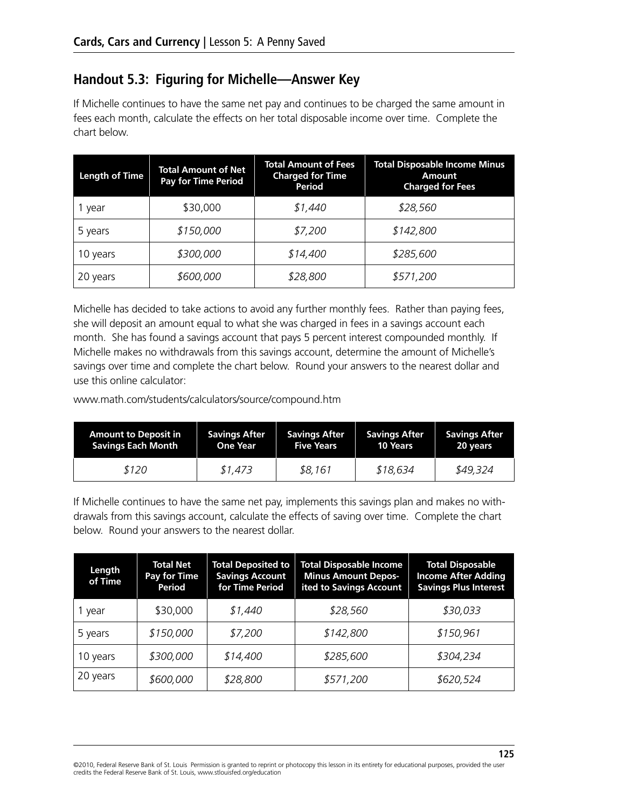# **Handout 5.3: Figuring for Michelle—Answer Key**

If Michelle continues to have the same net pay and continues to be charged the same amount in fees each month, calculate the effects on her total disposable income over time. Complete the chart below.

| <b>Length of Time</b> | <b>Total Amount of Net</b><br><b>Pay for Time Period</b> | <b>Total Amount of Fees</b><br><b>Charged for Time</b><br>Period | <b>Total Disposable Income Minus</b><br>Amount<br><b>Charged for Fees</b> |
|-----------------------|----------------------------------------------------------|------------------------------------------------------------------|---------------------------------------------------------------------------|
| 1 year                | \$30,000                                                 | \$1,440                                                          | \$28,560                                                                  |
| 5 years               | \$150,000                                                | \$7,200                                                          | \$142,800                                                                 |
| 10 years              | \$300,000                                                | \$14,400                                                         | \$285,600                                                                 |
| 20 years              | \$600,000                                                | \$28,800                                                         | \$571,200                                                                 |

Michelle has decided to take actions to avoid any further monthly fees. Rather than paying fees, she will deposit an amount equal to what she was charged in fees in a savings account each month. She has found a savings account that pays 5 percent interest compounded monthly. If Michelle makes no withdrawals from this savings account, determine the amount of Michelle's savings over time and complete the chart below. Round your answers to the nearest dollar and use this online calculator:

www.math.com/students/calculators/source/compound.htm

| <b>Amount to Deposit in</b> | <b>Savings After</b> | <b>Savings After</b> | <b>Savings After</b> | <b>Savings After</b> |
|-----------------------------|----------------------|----------------------|----------------------|----------------------|
| <b>Savings Each Month</b>   | <b>One Year</b>      | <b>Five Years</b>    | 10 Years             | 20 years             |
| \$120                       | \$1,473              | \$8,161              | \$18,634             | \$49,324             |

If Michelle continues to have the same net pay, implements this savings plan and makes no withdrawals from this savings account, calculate the effects of saving over time. Complete the chart below. Round your answers to the nearest dollar.

| Length<br>of Time | Total Net<br>Pay for Time<br>Period | <b>Total Deposited to</b><br><b>Savings Account</b><br>for Time Period | <b>Total Disposable Income</b><br><b>Minus Amount Depos-</b><br>ited to Savings Account | <b>Total Disposable</b><br><b>Income After Adding</b><br><b>Savings Plus Interest</b> |
|-------------------|-------------------------------------|------------------------------------------------------------------------|-----------------------------------------------------------------------------------------|---------------------------------------------------------------------------------------|
| 1 year            | \$30,000                            | \$1,440                                                                | \$28,560                                                                                | \$30,033                                                                              |
| 5 years           | \$150,000                           | \$7,200                                                                | \$142,800                                                                               | \$150,961                                                                             |
| 10 years          | \$300,000                           | \$14,400                                                               | \$285,600                                                                               | \$304,234                                                                             |
| 20 years          | \$600,000                           | \$28,800                                                               | \$571,200                                                                               | \$620,524                                                                             |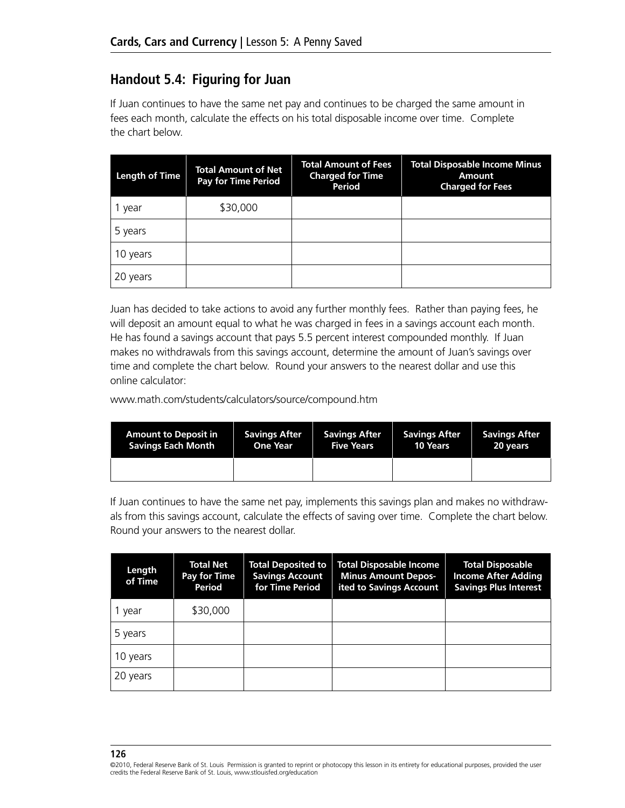# **Handout 5.4: Figuring for Juan**

If Juan continues to have the same net pay and continues to be charged the same amount in fees each month, calculate the effects on his total disposable income over time. Complete the chart below.

| <b>Length of Time</b> | <b>Total Amount of Net</b><br><b>Pay for Time Period</b> | <b>Total Amount of Fees</b><br><b>Charged for Time</b><br>Period | <b>Total Disposable Income Minus</b><br>Amount<br><b>Charged for Fees</b> |
|-----------------------|----------------------------------------------------------|------------------------------------------------------------------|---------------------------------------------------------------------------|
| year                  | \$30,000                                                 |                                                                  |                                                                           |
| 5 years               |                                                          |                                                                  |                                                                           |
| 10 years              |                                                          |                                                                  |                                                                           |
| 20 years              |                                                          |                                                                  |                                                                           |

Juan has decided to take actions to avoid any further monthly fees. Rather than paying fees, he will deposit an amount equal to what he was charged in fees in a savings account each month. He has found a savings account that pays 5.5 percent interest compounded monthly. If Juan makes no withdrawals from this savings account, determine the amount of Juan's savings over time and complete the chart below. Round your answers to the nearest dollar and use this online calculator:

www.math.com/students/calculators/source/compound.htm

| <b>Amount to Deposit in</b> | <b>Savings After</b> | <b>Savings After</b> | <b>Savings After</b> | <b>Savings After</b> |
|-----------------------------|----------------------|----------------------|----------------------|----------------------|
| <b>Savings Each Month</b>   | <b>One Year</b>      | <b>Five Years</b>    | <b>10 Years</b>      | 20 years             |
|                             |                      |                      |                      |                      |

If Juan continues to have the same net pay, implements this savings plan and makes no withdrawals from this savings account, calculate the effects of saving over time. Complete the chart below. Round your answers to the nearest dollar.

| Length<br>of Time | <b>Total Net</b><br>Pay for Time<br>Period | <b>Total Deposited to</b><br><b>Savings Account</b><br>for Time Period | <b>Total Disposable Income</b><br><b>Minus Amount Depos-</b><br>ited to Savings Account | <b>Total Disposable</b><br><b>Income After Adding</b><br><b>Savings Plus Interest</b> |
|-------------------|--------------------------------------------|------------------------------------------------------------------------|-----------------------------------------------------------------------------------------|---------------------------------------------------------------------------------------|
| 1 year            | \$30,000                                   |                                                                        |                                                                                         |                                                                                       |
| 5 years           |                                            |                                                                        |                                                                                         |                                                                                       |
| 10 years          |                                            |                                                                        |                                                                                         |                                                                                       |
| 20 years          |                                            |                                                                        |                                                                                         |                                                                                       |

<sup>©2010,</sup> Federal Reserve Bank of St. Louis Permission is granted to reprint or photocopy this lesson in its entirety for educational purposes, provided the user credits the Federal Reserve Bank of St. Louis, www.stlouisfed.org/education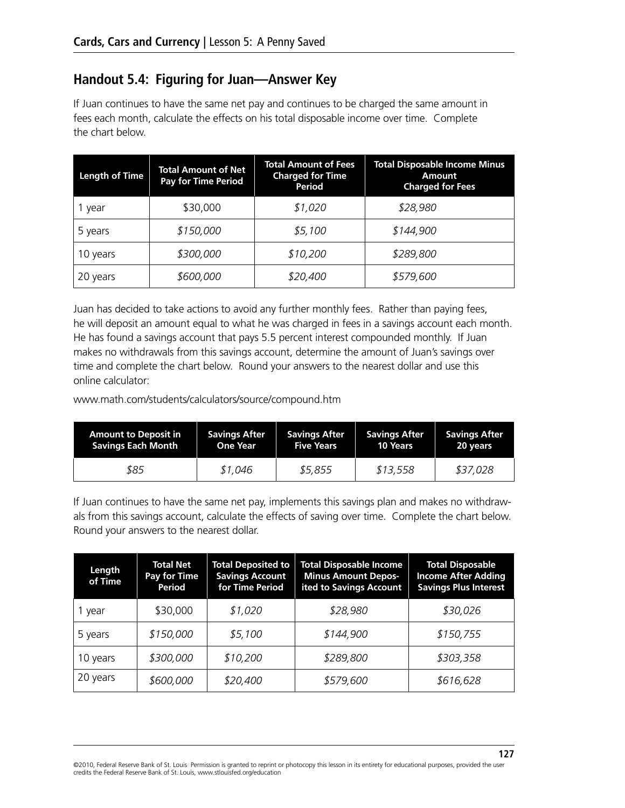# **Handout 5.4: Figuring for Juan—Answer Key**

If Juan continues to have the same net pay and continues to be charged the same amount in fees each month, calculate the effects on his total disposable income over time. Complete the chart below.

| <b>Length of Time</b> | <b>Total Amount of Net</b><br><b>Pay for Time Period</b> | <b>Total Amount of Fees</b><br><b>Charged for Time</b><br>Period | <b>Total Disposable Income Minus</b><br>Amount<br><b>Charged for Fees</b> |
|-----------------------|----------------------------------------------------------|------------------------------------------------------------------|---------------------------------------------------------------------------|
| year                  | \$30,000                                                 | \$1,020                                                          | \$28,980                                                                  |
| 5 years               | \$150,000                                                | \$5,100                                                          | \$144,900                                                                 |
| 10 years              | \$300,000                                                | \$10,200                                                         | \$289,800                                                                 |
| 20 years              | \$600,000                                                | \$20,400                                                         | \$579,600                                                                 |

Juan has decided to take actions to avoid any further monthly fees. Rather than paying fees, he will deposit an amount equal to what he was charged in fees in a savings account each month. He has found a savings account that pays 5.5 percent interest compounded monthly. If Juan makes no withdrawals from this savings account, determine the amount of Juan's savings over time and complete the chart below. Round your answers to the nearest dollar and use this online calculator:

www.math.com/students/calculators/source/compound.htm

| <b>Amount to Deposit in</b> | <b>Savings After</b> | <b>Savings After</b> | <b>Savings After</b> | <b>Savings After</b> |
|-----------------------------|----------------------|----------------------|----------------------|----------------------|
| <b>Savings Each Month</b>   | <b>One Year</b>      | <b>Five Years</b>    | 10 Years             | 20 years             |
| \$85                        | \$1,046              | \$5,855              | \$13,558             | \$37,028             |

If Juan continues to have the same net pay, implements this savings plan and makes no withdrawals from this savings account, calculate the effects of saving over time. Complete the chart below. Round your answers to the nearest dollar.

| Length<br>of Time | <b>Total Net</b><br>Pay for Time<br><b>Period</b> | <b>Total Deposited to</b><br><b>Savings Account</b><br>for Time Period | <b>Total Disposable Income</b><br><b>Minus Amount Depos-</b><br>ited to Savings Account | <b>Total Disposable</b><br><b>Income After Adding</b><br><b>Savings Plus Interest</b> |
|-------------------|---------------------------------------------------|------------------------------------------------------------------------|-----------------------------------------------------------------------------------------|---------------------------------------------------------------------------------------|
| 1 year            | \$30,000                                          | \$1,020                                                                | \$28,980                                                                                | \$30,026                                                                              |
| 5 years           | \$150,000                                         | \$5,100                                                                | \$144,900                                                                               | \$150,755                                                                             |
| 10 years          | \$300,000                                         | \$10,200                                                               | \$289,800                                                                               | \$303,358                                                                             |
| 20 years          | \$600,000                                         | \$20,400                                                               | \$579,600                                                                               | \$616,628                                                                             |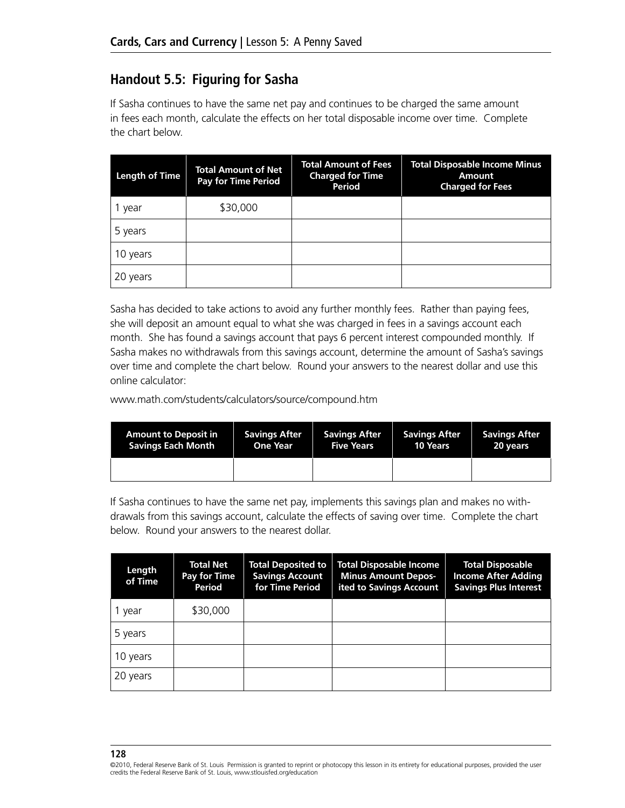# **Handout 5.5: Figuring for Sasha**

If Sasha continues to have the same net pay and continues to be charged the same amount in fees each month, calculate the effects on her total disposable income over time. Complete the chart below.

| <b>Length of Time</b> | <b>Total Amount of Net</b><br><b>Pay for Time Period</b> | <b>Total Amount of Fees</b><br><b>Charged for Time</b><br>Period | <b>Total Disposable Income Minus</b><br>Amount<br><b>Charged for Fees</b> |
|-----------------------|----------------------------------------------------------|------------------------------------------------------------------|---------------------------------------------------------------------------|
| year                  | \$30,000                                                 |                                                                  |                                                                           |
| 5 years               |                                                          |                                                                  |                                                                           |
| 10 years              |                                                          |                                                                  |                                                                           |
| 20 years              |                                                          |                                                                  |                                                                           |

Sasha has decided to take actions to avoid any further monthly fees. Rather than paying fees, she will deposit an amount equal to what she was charged in fees in a savings account each month. She has found a savings account that pays 6 percent interest compounded monthly. If Sasha makes no withdrawals from this savings account, determine the amount of Sasha's savings over time and complete the chart below. Round your answers to the nearest dollar and use this online calculator:

www.math.com/students/calculators/source/compound.htm

| <b>Amount to Deposit in</b> | <b>Savings After</b> | <b>Savings After</b> | <b>Savings After</b> | <b>Savings After</b> |
|-----------------------------|----------------------|----------------------|----------------------|----------------------|
| <b>Savings Each Month</b>   | <b>One Year</b>      | <b>Five Years</b>    | <b>10 Years</b>      | 20 years             |
|                             |                      |                      |                      |                      |

If Sasha continues to have the same net pay, implements this savings plan and makes no withdrawals from this savings account, calculate the effects of saving over time. Complete the chart below. Round your answers to the nearest dollar.

| Length<br>of Time | <b>Total Net</b><br>Pay for Time<br>Period | <b>Total Deposited to</b><br><b>Savings Account</b><br>for Time Period | <b>Total Disposable Income</b><br><b>Minus Amount Depos-</b><br>ited to Savings Account | <b>Total Disposable</b><br><b>Income After Adding</b><br><b>Savings Plus Interest</b> |
|-------------------|--------------------------------------------|------------------------------------------------------------------------|-----------------------------------------------------------------------------------------|---------------------------------------------------------------------------------------|
| 1 year            | \$30,000                                   |                                                                        |                                                                                         |                                                                                       |
| 5 years           |                                            |                                                                        |                                                                                         |                                                                                       |
| 10 years          |                                            |                                                                        |                                                                                         |                                                                                       |
| 20 years          |                                            |                                                                        |                                                                                         |                                                                                       |

<sup>©2010,</sup> Federal Reserve Bank of St. Louis Permission is granted to reprint or photocopy this lesson in its entirety for educational purposes, provided the user credits the Federal Reserve Bank of St. Louis, www.stlouisfed.org/education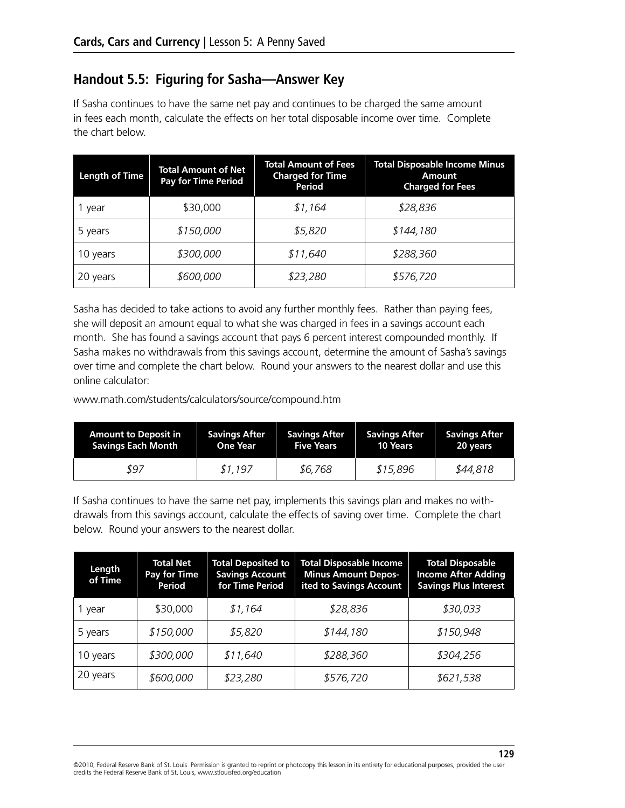# **Handout 5.5: Figuring for Sasha—Answer Key**

If Sasha continues to have the same net pay and continues to be charged the same amount in fees each month, calculate the effects on her total disposable income over time. Complete the chart below.

| <b>Length of Time</b> | <b>Total Amount of Net</b><br><b>Pay for Time Period</b> | <b>Total Amount of Fees</b><br><b>Charged for Time</b><br>Period | <b>Total Disposable Income Minus</b><br>Amount<br><b>Charged for Fees</b> |
|-----------------------|----------------------------------------------------------|------------------------------------------------------------------|---------------------------------------------------------------------------|
| year                  | \$30,000                                                 | \$1,164                                                          | \$28,836                                                                  |
| 5 years               | \$150,000                                                | \$5,820                                                          | \$144,180                                                                 |
| 10 years              | \$300,000                                                | \$11,640                                                         | \$288,360                                                                 |
| 20 years              | \$600,000                                                | \$23,280                                                         | \$576,720                                                                 |

Sasha has decided to take actions to avoid any further monthly fees. Rather than paying fees, she will deposit an amount equal to what she was charged in fees in a savings account each month. She has found a savings account that pays 6 percent interest compounded monthly. If Sasha makes no withdrawals from this savings account, determine the amount of Sasha's savings over time and complete the chart below. Round your answers to the nearest dollar and use this online calculator:

www.math.com/students/calculators/source/compound.htm

| <b>Amount to Deposit in</b> | <b>Savings After</b> | <b>Savings After</b> | <b>Savings After</b> | <b>Savings After</b> |
|-----------------------------|----------------------|----------------------|----------------------|----------------------|
| <b>Savings Each Month</b>   | <b>One Year</b>      | <b>Five Years</b>    | 10 Years             | 20 years             |
| 897                         | \$1.197              | \$6,768              | \$15,896             | \$44,818             |

If Sasha continues to have the same net pay, implements this savings plan and makes no withdrawals from this savings account, calculate the effects of saving over time. Complete the chart below. Round your answers to the nearest dollar.

| Length<br>of Time | <b>Total Net</b><br>Pay for Time<br>Period | <b>Total Deposited to</b><br><b>Savings Account</b><br>for Time Period | <b>Total Disposable Income</b><br><b>Minus Amount Depos-</b><br>ited to Savings Account | <b>Total Disposable</b><br><b>Income After Adding</b><br><b>Savings Plus Interest</b> |
|-------------------|--------------------------------------------|------------------------------------------------------------------------|-----------------------------------------------------------------------------------------|---------------------------------------------------------------------------------------|
| 1 year            | \$30,000                                   | \$1,164                                                                | \$28,836                                                                                | \$30,033                                                                              |
| 5 years           | \$150,000                                  | \$5,820                                                                | \$144,180                                                                               | \$150,948                                                                             |
| 10 years          | \$300,000                                  | \$11,640                                                               | \$288,360                                                                               | \$304,256                                                                             |
| 20 years          | \$600,000                                  | \$23,280                                                               | \$576,720                                                                               | \$621,538                                                                             |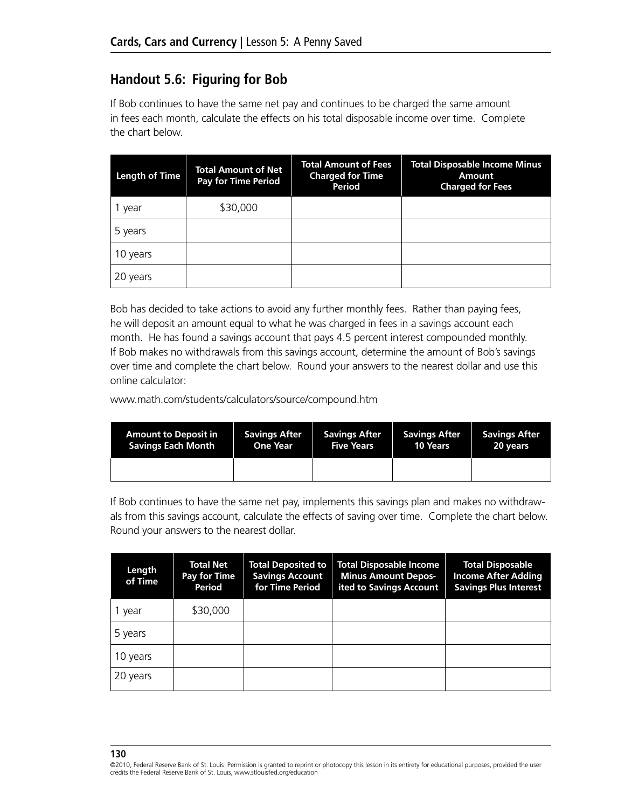# **Handout 5.6: Figuring for Bob**

If Bob continues to have the same net pay and continues to be charged the same amount in fees each month, calculate the effects on his total disposable income over time. Complete the chart below.

| <b>Length of Time</b> | <b>Total Amount of Net</b><br><b>Pay for Time Period</b> | <b>Total Amount of Fees</b><br><b>Charged for Time</b><br>Period | <b>Total Disposable Income Minus</b><br><b>Amount</b><br><b>Charged for Fees</b> |
|-----------------------|----------------------------------------------------------|------------------------------------------------------------------|----------------------------------------------------------------------------------|
| year                  | \$30,000                                                 |                                                                  |                                                                                  |
| 5 years               |                                                          |                                                                  |                                                                                  |
| 10 years              |                                                          |                                                                  |                                                                                  |
| 20 years              |                                                          |                                                                  |                                                                                  |

Bob has decided to take actions to avoid any further monthly fees. Rather than paying fees, he will deposit an amount equal to what he was charged in fees in a savings account each month. He has found a savings account that pays 4.5 percent interest compounded monthly. If Bob makes no withdrawals from this savings account, determine the amount of Bob's savings over time and complete the chart below. Round your answers to the nearest dollar and use this online calculator:

www.math.com/students/calculators/source/compound.htm

| <b>Amount to Deposit in</b> | <b>Savings After</b> | <b>Savings After</b> | <b>Savings After</b> | <b>Savings After</b> |
|-----------------------------|----------------------|----------------------|----------------------|----------------------|
| <b>Savings Each Month</b>   | <b>One Year</b>      | <b>Five Years</b>    | <b>10 Years</b>      | 20 years             |
|                             |                      |                      |                      |                      |

If Bob continues to have the same net pay, implements this savings plan and makes no withdrawals from this savings account, calculate the effects of saving over time. Complete the chart below. Round your answers to the nearest dollar.

| Length<br>of Time | Total Net<br>Pay for Time<br>Period | <b>Total Deposited to</b><br><b>Savings Account</b><br>for Time Period | <b>Total Disposable Income</b><br><b>Minus Amount Depos-</b><br>ited to Savings Account | <b>Total Disposable</b><br><b>Income After Adding</b><br><b>Savings Plus Interest</b> |
|-------------------|-------------------------------------|------------------------------------------------------------------------|-----------------------------------------------------------------------------------------|---------------------------------------------------------------------------------------|
| 1 year            | \$30,000                            |                                                                        |                                                                                         |                                                                                       |
| 5 years           |                                     |                                                                        |                                                                                         |                                                                                       |
| 10 years          |                                     |                                                                        |                                                                                         |                                                                                       |
| 20 years          |                                     |                                                                        |                                                                                         |                                                                                       |

<sup>©2010,</sup> Federal Reserve Bank of St. Louis Permission is granted to reprint or photocopy this lesson in its entirety for educational purposes, provided the user credits the Federal Reserve Bank of St. Louis, www.stlouisfed.org/education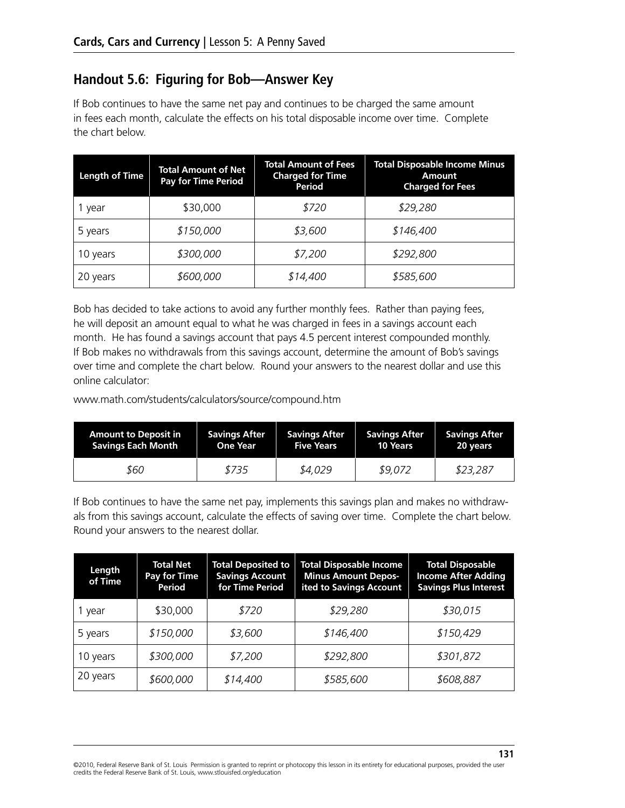## **Handout 5.6: Figuring for Bob—Answer Key**

If Bob continues to have the same net pay and continues to be charged the same amount in fees each month, calculate the effects on his total disposable income over time. Complete the chart below.

| <b>Length of Time</b> | <b>Total Amount of Net</b><br><b>Pay for Time Period</b> | <b>Total Amount of Fees</b><br><b>Charged for Time</b><br>Period | <b>Total Disposable Income Minus</b><br>Amount<br><b>Charged for Fees</b> |
|-----------------------|----------------------------------------------------------|------------------------------------------------------------------|---------------------------------------------------------------------------|
| 1 year                | \$30,000                                                 | \$720                                                            | \$29,280                                                                  |
| 5 years               | \$150,000                                                | \$3,600                                                          | \$146,400                                                                 |
| 10 years              | \$300,000                                                | \$7,200                                                          | \$292,800                                                                 |
| 20 years              | \$600,000                                                | \$14,400                                                         | \$585,600                                                                 |

Bob has decided to take actions to avoid any further monthly fees. Rather than paying fees, he will deposit an amount equal to what he was charged in fees in a savings account each month. He has found a savings account that pays 4.5 percent interest compounded monthly. If Bob makes no withdrawals from this savings account, determine the amount of Bob's savings over time and complete the chart below. Round your answers to the nearest dollar and use this online calculator:

www.math.com/students/calculators/source/compound.htm

| <b>Amount to Deposit in</b> | <b>Savings After</b> | <b>Savings After</b> | <b>Savings After</b> | <b>Savings After</b> |
|-----------------------------|----------------------|----------------------|----------------------|----------------------|
| <b>Savings Each Month</b>   | <b>One Year</b>      | <b>Five Years</b>    | 10 Years             | 20 years             |
| 860                         | \$735                | \$4,029              | \$9,072              | \$23,287             |

If Bob continues to have the same net pay, implements this savings plan and makes no withdrawals from this savings account, calculate the effects of saving over time. Complete the chart below. Round your answers to the nearest dollar.

| Length<br>of Time | <b>Total Net</b><br>Pay for Time<br>Period | <b>Total Deposited to</b><br><b>Savings Account</b><br>for Time Period | <b>Total Disposable Income</b><br><b>Minus Amount Depos-</b><br>ited to Savings Account | <b>Total Disposable</b><br><b>Income After Adding</b><br><b>Savings Plus Interest</b> |
|-------------------|--------------------------------------------|------------------------------------------------------------------------|-----------------------------------------------------------------------------------------|---------------------------------------------------------------------------------------|
| 1 year            | \$30,000                                   | \$720                                                                  | \$29,280                                                                                | \$30,015                                                                              |
| 5 years           | \$150,000                                  | \$3,600                                                                | \$146,400                                                                               | \$150,429                                                                             |
| 10 years          | \$300,000                                  | \$7,200                                                                | \$292,800                                                                               | \$301,872                                                                             |
| 20 years          | \$600,000                                  | \$14,400                                                               | \$585,600                                                                               | \$608,887                                                                             |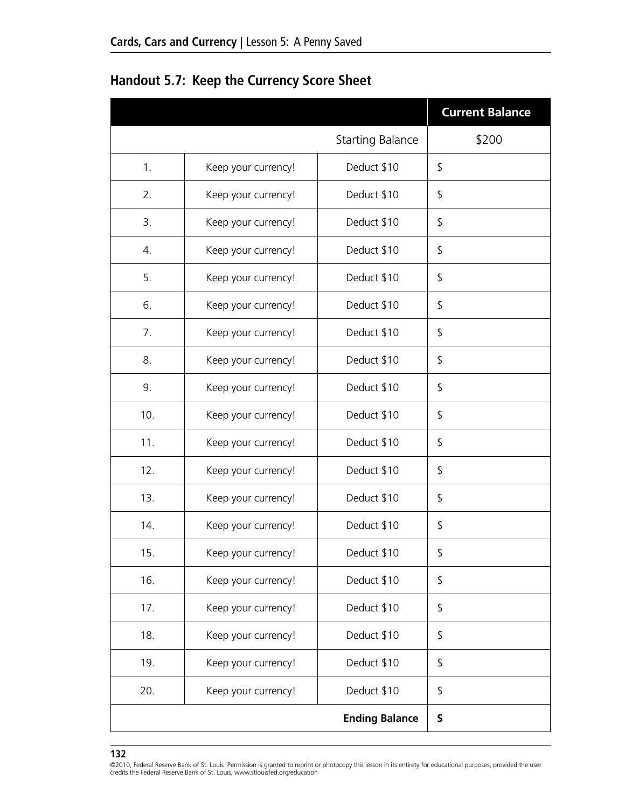|     |                     |                         | <b>Current Balance</b> |
|-----|---------------------|-------------------------|------------------------|
|     |                     | <b>Starting Balance</b> | \$200                  |
| 1.  | Keep your currency! | Deduct \$10             | \$                     |
| 2.  | Keep your currency! | Deduct \$10             | \$                     |
| 3.  | Keep your currency! | Deduct \$10             | \$                     |
| 4.  | Keep your currency! | Deduct \$10             | \$                     |
| 5.  | Keep your currency! | Deduct \$10             | \$                     |
| 6.  | Keep your currency! | Deduct \$10             | \$                     |
| 7.  | Keep your currency! | Deduct \$10             | \$                     |
| 8.  | Keep your currency! | Deduct \$10             | \$                     |
| 9.  | Keep your currency! | Deduct \$10             | \$                     |
| 10. | Keep your currency! | Deduct \$10             | \$                     |
| 11. | Keep your currency! | Deduct \$10             | \$                     |
| 12. | Keep your currency! | Deduct \$10             | \$                     |
| 13. | Keep your currency! | Deduct \$10             | \$                     |
| 14. | Keep your currency! | Deduct \$10             | \$                     |
| 15. | Keep your currency! | Deduct \$10             | \$                     |
| 16. | Keep your currency! | Deduct \$10             | \$                     |
| 17. | Keep your currency! | Deduct \$10             | \$                     |
| 18. | Keep your currency! | Deduct \$10             | \$                     |
| 19. | Keep your currency! | Deduct \$10             | \$                     |
| 20. | Keep your currency! | Deduct \$10             | \$                     |
|     |                     | <b>Ending Balance</b>   | \$                     |

**Handout 5.7: Keep the Currency Score Sheet**

<sup>©2010,</sup> Federal Reserve Bank of St. Louis Permission is granted to reprint or photocopy this lesson in its entirety for educational purposes, provided the user credits the Federal Reserve Bank of St. Louis, www.stlouisfed.org/education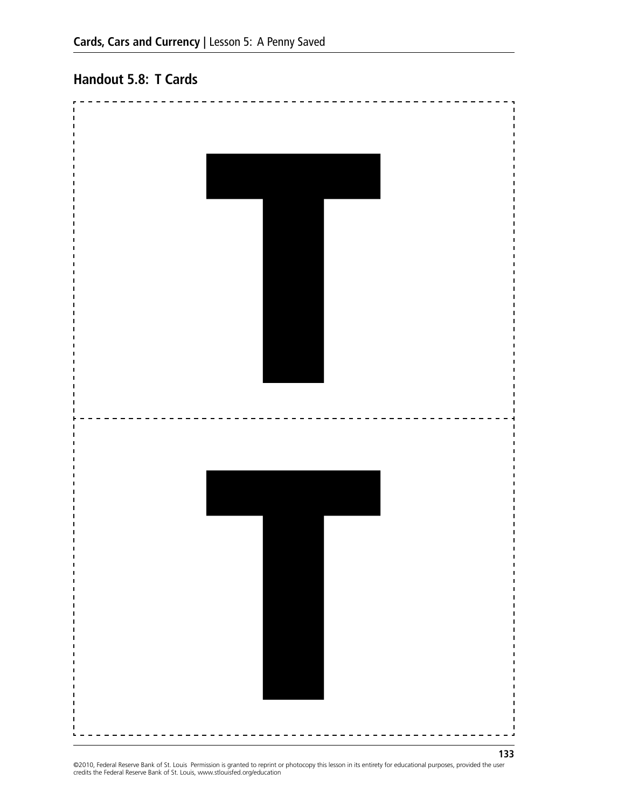# **Handout 5.8: T Cards**



©2010, Federal Reserve Bank of St. Louis Permission is granted to reprint or photocopy this lesson in its entirety for educational purposes, provided the user<br>credits the Federal Reserve Bank of St. Louis, www.stlouisfed.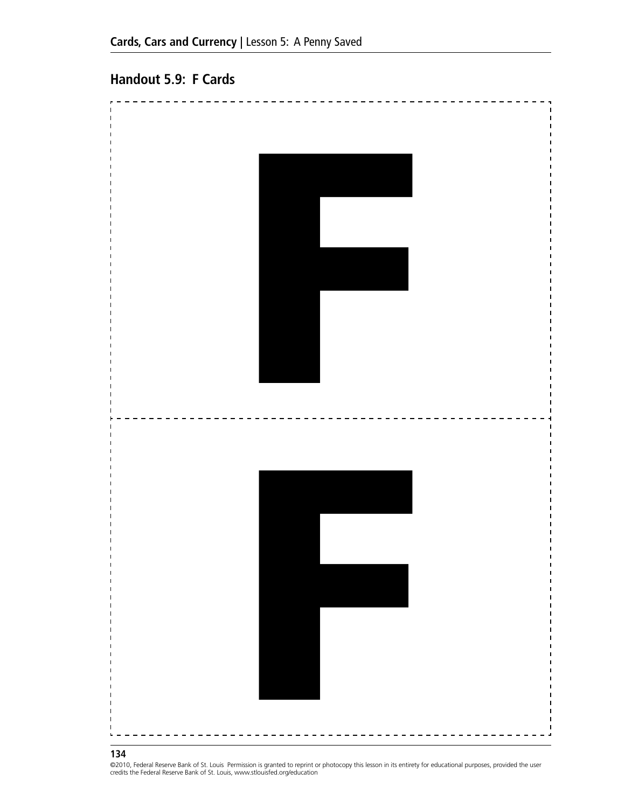#### **Handout 5.9: F Cards**



#### **134**

©2010, Federal Reserve Bank of St. Louis Permission is granted to reprint or photocopy this lesson in its entirety for educational purposes, provided the user<br>credits the Federal Reserve Bank of St. Louis, www.stlouisfed.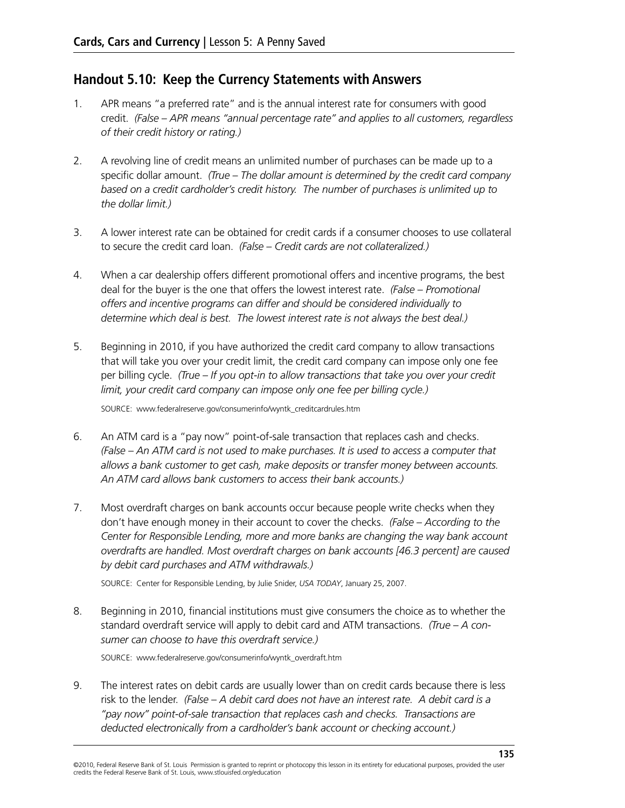#### **Handout 5.10: Keep the Currency Statements with Answers**

- 1. APR means "a preferred rate" and is the annual interest rate for consumers with good credit. *(False – APR means "annual percentage rate" and applies to all customers, regardless of their credit history or rating.)*
- 2. A revolving line of credit means an unlimited number of purchases can be made up to a specific dollar amount. *(True – The dollar amount is determined by the credit card company based on a credit cardholder's credit history. The number of purchases is unlimited up to the dollar limit.)*
- 3. A lower interest rate can be obtained for credit cards if a consumer chooses to use collateral to secure the credit card loan. *(False – Credit cards are not collateralized.)*
- 4. When a car dealership offers different promotional offers and incentive programs, the best deal for the buyer is the one that offers the lowest interest rate. *(False – Promotional offers and incentive programs can differ and should be considered individually to determine which deal is best. The lowest interest rate is not always the best deal.)*
- 5. Beginning in 2010, if you have authorized the credit card company to allow transactions that will take you over your credit limit, the credit card company can impose only one fee per billing cycle. *(True – If you opt-in to allow transactions that take you over your credit limit, your credit card company can impose only one fee per billing cycle.)*

Source: www.federalreserve.gov/consumerinfo/wyntk\_creditcardrules.htm

- 6. An ATM card is a "pay now" point-of-sale transaction that replaces cash and checks. *(False – An ATM card is not used to make purchases. It is used to access a computer that allows a bank customer to get cash, make deposits or transfer money between accounts. An ATM card allows bank customers to access their bank accounts.)*
- 7. Most overdraft charges on bank accounts occur because people write checks when they don't have enough money in their account to cover the checks. *(False – According to the Center for Responsible Lending, more and more banks are changing the way bank account overdrafts are handled. Most overdraft charges on bank accounts [46.3 percent] are caused by debit card purchases and ATM withdrawals.)*

SOURCE: Center for Responsible Lending, by Julie Snider, *USA TODAY*, January 25, 2007.

8. Beginning in 2010, financial institutions must give consumers the choice as to whether the standard overdraft service will apply to debit card and ATM transactions. *(True – A consumer can choose to have this overdraft service.)*

Source: www.federalreserve.gov/consumerinfo/wyntk\_overdraft.htm

9. The interest rates on debit cards are usually lower than on credit cards because there is less risk to the lender. *(False – A debit card does not have an interest rate. A debit card is a "pay now" point-of-sale transaction that replaces cash and checks. Transactions are deducted electronically from a cardholder's bank account or checking account.)*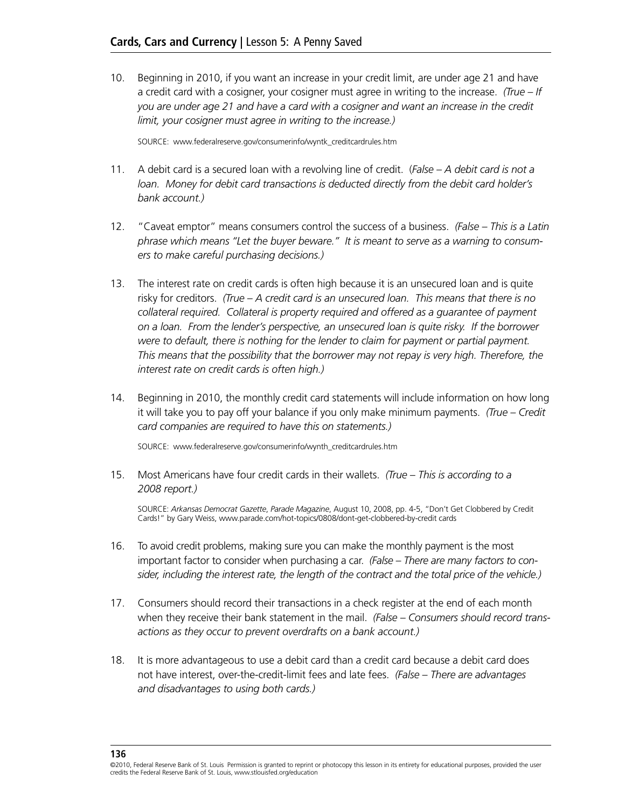10. Beginning in 2010, if you want an increase in your credit limit, are under age 21 and have a credit card with a cosigner, your cosigner must agree in writing to the increase. *(True – If you are under age 21 and have a card with a cosigner and want an increase in the credit limit, your cosigner must agree in writing to the increase.)* 

Source: www.federalreserve.gov/consumerinfo/wyntk\_creditcardrules.htm

- 11. A debit card is a secured loan with a revolving line of credit. (*False A debit card is not a loan. Money for debit card transactions is deducted directly from the debit card holder's bank account.)*
- 12. "Caveat emptor" means consumers control the success of a business. *(False This is a Latin phrase which means "Let the buyer beware." It is meant to serve as a warning to consumers to make careful purchasing decisions.)*
- 13. The interest rate on credit cards is often high because it is an unsecured loan and is quite risky for creditors. *(True – A credit card is an unsecured loan. This means that there is no collateral required. Collateral is property required and offered as a guarantee of payment on a loan. From the lender's perspective, an unsecured loan is quite risky. If the borrower were to default, there is nothing for the lender to claim for payment or partial payment. This means that the possibility that the borrower may not repay is very high. Therefore, the interest rate on credit cards is often high.)*
- 14. Beginning in 2010, the monthly credit card statements will include information on how long it will take you to pay off your balance if you only make minimum payments. *(True – Credit card companies are required to have this on statements.)*

Source: www.federalreserve.gov/consumerinfo/wynth\_creditcardrules.htm

15. Most Americans have four credit cards in their wallets. *(True – This is according to a 2008 report.)*

SOURCE: *Arkansas Democrat Gazette*, *Parade Magazine*, August 10, 2008, pp. 4-5, "Don't Get Clobbered by Credit Cards!" by Gary Weiss, www.parade.com/hot-topics/0808/dont-get-clobbered-by-credit cards

- 16. To avoid credit problems, making sure you can make the monthly payment is the most important factor to consider when purchasing a car. *(False – There are many factors to consider, including the interest rate, the length of the contract and the total price of the vehicle.)*
- 17. Consumers should record their transactions in a check register at the end of each month when they receive their bank statement in the mail. *(False – Consumers should record transactions as they occur to prevent overdrafts on a bank account.)*
- 18. It is more advantageous to use a debit card than a credit card because a debit card does not have interest, over-the-credit-limit fees and late fees. *(False – There are advantages and disadvantages to using both cards.)*

<sup>©2010,</sup> Federal Reserve Bank of St. Louis Permission is granted to reprint or photocopy this lesson in its entirety for educational purposes, provided the user credits the Federal Reserve Bank of St. Louis, www.stlouisfed.org/education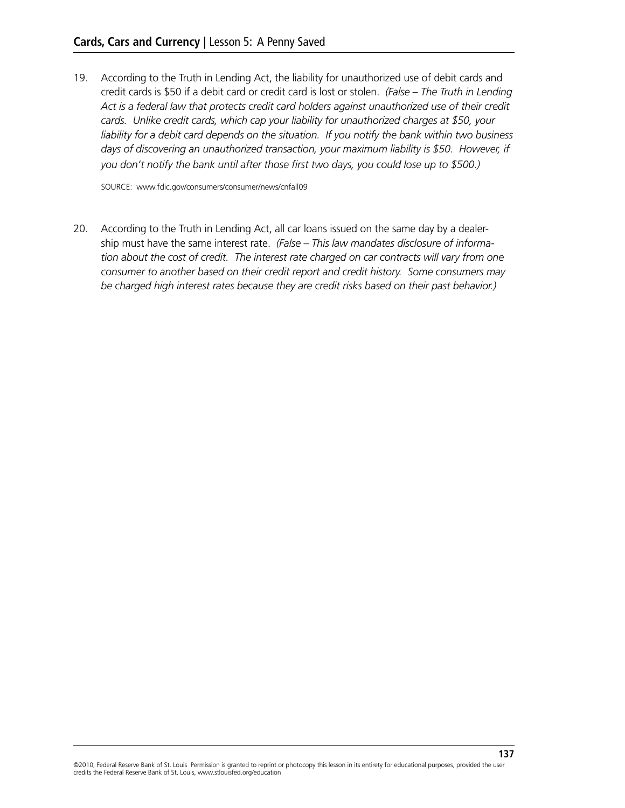19. According to the Truth in Lending Act, the liability for unauthorized use of debit cards and credit cards is \$50 if a debit card or credit card is lost or stolen. *(False – The Truth in Lending Act is a federal law that protects credit card holders against unauthorized use of their credit cards. Unlike credit cards, which cap your liability for unauthorized charges at \$50, your liability for a debit card depends on the situation. If you notify the bank within two business days of discovering an unauthorized transaction, your maximum liability is \$50. However, if you don't notify the bank until after those first two days, you could lose up to \$500.)*

Source: www.fdic.gov/consumers/consumer/news/cnfall09

20. According to the Truth in Lending Act, all car loans issued on the same day by a dealership must have the same interest rate. *(False – This law mandates disclosure of information about the cost of credit. The interest rate charged on car contracts will vary from one consumer to another based on their credit report and credit history. Some consumers may be charged high interest rates because they are credit risks based on their past behavior.)*

**137**